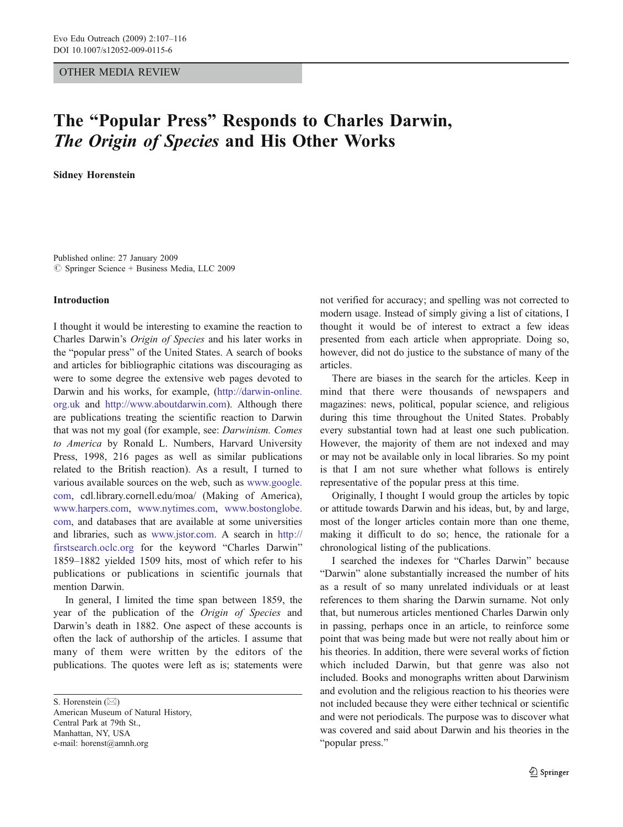## OTHER MEDIA REVIEW

## The "Popular Press" Responds to Charles Darwin, The Origin of Species and His Other Works

Sidney Horenstein

Published online: 27 January 2009  $\circledcirc$  Springer Science + Business Media, LLC 2009

## Introduction

I thought it would be interesting to examine the reaction to Charles Darwin's Origin of Species and his later works in the "popular press" of the United States. A search of books and articles for bibliographic citations was discouraging as were to some degree the extensive web pages devoted to Darwin and his works, for example, ([http://darwin-online.](http://darwin-online.org.uk) [org.uk](http://darwin-online.org.uk) and [http://www.aboutdarwin.com\)](http://www.aboutdarwin.com). Although there are publications treating the scientific reaction to Darwin that was not my goal (for example, see: Darwinism. Comes to America by Ronald L. Numbers, Harvard University Press, 1998, 216 pages as well as similar publications related to the British reaction). As a result, I turned to various available sources on the web, such as [www.google.](http://www.google.com) [com](http://www.google.com), cdl.library.cornell.edu/moa/ (Making of America), [www.harpers.com,](http://www.harpers.com) [www.nytimes.com,](http://www.nytimes.com) [www.bostonglobe.](http://www.bostonglobe.com) [com](http://www.bostonglobe.com), and databases that are available at some universities and libraries, such as [www.jstor.com.](http://www.jstor.com) A search in [http://](http://firstsearch.oclc.org) [firstsearch.oclc.org](http://firstsearch.oclc.org) for the keyword "Charles Darwin" 1859–1882 yielded 1509 hits, most of which refer to his publications or publications in scientific journals that mention Darwin.

In general, I limited the time span between 1859, the year of the publication of the Origin of Species and Darwin's death in 1882. One aspect of these accounts is often the lack of authorship of the articles. I assume that many of them were written by the editors of the publications. The quotes were left as is; statements were

S. Horenstein (*\**) American Museum of Natural History, Central Park at 79th St., Manhattan, NY, USA e-mail: horenst@amnh.org

not verified for accuracy; and spelling was not corrected to modern usage. Instead of simply giving a list of citations, I thought it would be of interest to extract a few ideas presented from each article when appropriate. Doing so, however, did not do justice to the substance of many of the articles.

There are biases in the search for the articles. Keep in mind that there were thousands of newspapers and magazines: news, political, popular science, and religious during this time throughout the United States. Probably every substantial town had at least one such publication. However, the majority of them are not indexed and may or may not be available only in local libraries. So my point is that I am not sure whether what follows is entirely representative of the popular press at this time.

Originally, I thought I would group the articles by topic or attitude towards Darwin and his ideas, but, by and large, most of the longer articles contain more than one theme, making it difficult to do so; hence, the rationale for a chronological listing of the publications.

I searched the indexes for "Charles Darwin" because "Darwin" alone substantially increased the number of hits as a result of so many unrelated individuals or at least references to them sharing the Darwin surname. Not only that, but numerous articles mentioned Charles Darwin only in passing, perhaps once in an article, to reinforce some point that was being made but were not really about him or his theories. In addition, there were several works of fiction which included Darwin, but that genre was also not included. Books and monographs written about Darwinism and evolution and the religious reaction to his theories were not included because they were either technical or scientific and were not periodicals. The purpose was to discover what was covered and said about Darwin and his theories in the "popular press."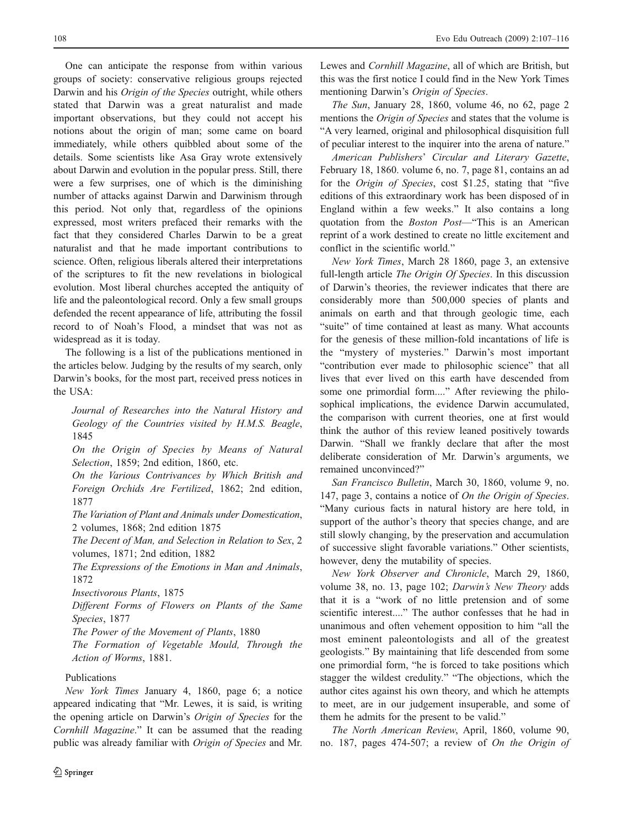One can anticipate the response from within various groups of society: conservative religious groups rejected Darwin and his Origin of the Species outright, while others stated that Darwin was a great naturalist and made important observations, but they could not accept his notions about the origin of man; some came on board immediately, while others quibbled about some of the details. Some scientists like Asa Gray wrote extensively about Darwin and evolution in the popular press. Still, there were a few surprises, one of which is the diminishing number of attacks against Darwin and Darwinism through this period. Not only that, regardless of the opinions expressed, most writers prefaced their remarks with the fact that they considered Charles Darwin to be a great naturalist and that he made important contributions to science. Often, religious liberals altered their interpretations of the scriptures to fit the new revelations in biological evolution. Most liberal churches accepted the antiquity of life and the paleontological record. Only a few small groups defended the recent appearance of life, attributing the fossil record to of Noah's Flood, a mindset that was not as widespread as it is today.

The following is a list of the publications mentioned in the articles below. Judging by the results of my search, only Darwin's books, for the most part, received press notices in the USA:

Journal of Researches into the Natural History and Geology of the Countries visited by H.M.S. Beagle, 1845

On the Origin of Species by Means of Natural Selection, 1859; 2nd edition, 1860, etc.

On the Various Contrivances by Which British and Foreign Orchids Are Fertilized, 1862; 2nd edition, 1877

The Variation of Plant and Animals under Domestication, 2 volumes, 1868; 2nd edition 1875

The Decent of Man, and Selection in Relation to Sex, 2 volumes, 1871; 2nd edition, 1882

The Expressions of the Emotions in Man and Animals, 1872

Insectivorous Plants, 1875

Different Forms of Flowers on Plants of the Same Species, 1877

The Power of the Movement of Plants, 1880

The Formation of Vegetable Mould, Through the Action of Worms, 1881.

Publications

New York Times January 4, 1860, page 6; a notice appeared indicating that "Mr. Lewes, it is said, is writing the opening article on Darwin's Origin of Species for the Cornhill Magazine." It can be assumed that the reading public was already familiar with Origin of Species and Mr. Lewes and Cornhill Magazine, all of which are British, but this was the first notice I could find in the New York Times mentioning Darwin's Origin of Species.

The Sun, January 28, 1860, volume 46, no 62, page 2 mentions the Origin of Species and states that the volume is "A very learned, original and philosophical disquisition full of peculiar interest to the inquirer into the arena of nature."

American Publishers' Circular and Literary Gazette, February 18, 1860. volume 6, no. 7, page 81, contains an ad for the Origin of Species, cost \$1.25, stating that "five editions of this extraordinary work has been disposed of in England within a few weeks." It also contains a long quotation from the Boston Post—"This is an American reprint of a work destined to create no little excitement and conflict in the scientific world."

New York Times, March 28 1860, page 3, an extensive full-length article *The Origin Of Species*. In this discussion of Darwin's theories, the reviewer indicates that there are considerably more than 500,000 species of plants and animals on earth and that through geologic time, each "suite" of time contained at least as many. What accounts for the genesis of these million-fold incantations of life is the "mystery of mysteries." Darwin's most important "contribution ever made to philosophic science" that all lives that ever lived on this earth have descended from some one primordial form...." After reviewing the philosophical implications, the evidence Darwin accumulated, the comparison with current theories, one at first would think the author of this review leaned positively towards Darwin. "Shall we frankly declare that after the most deliberate consideration of Mr. Darwin's arguments, we remained unconvinced?"

San Francisco Bulletin, March 30, 1860, volume 9, no. 147, page 3, contains a notice of On the Origin of Species. "Many curious facts in natural history are here told, in support of the author's theory that species change, and are still slowly changing, by the preservation and accumulation of successive slight favorable variations." Other scientists, however, deny the mutability of species.

New York Observer and Chronicle, March 29, 1860, volume 38, no. 13, page 102; Darwin's New Theory adds that it is a "work of no little pretension and of some scientific interest...." The author confesses that he had in unanimous and often vehement opposition to him "all the most eminent paleontologists and all of the greatest geologists." By maintaining that life descended from some one primordial form, "he is forced to take positions which stagger the wildest credulity." "The objections, which the author cites against his own theory, and which he attempts to meet, are in our judgement insuperable, and some of them he admits for the present to be valid."

The North American Review, April, 1860, volume 90, no. 187, pages 474-507; a review of On the Origin of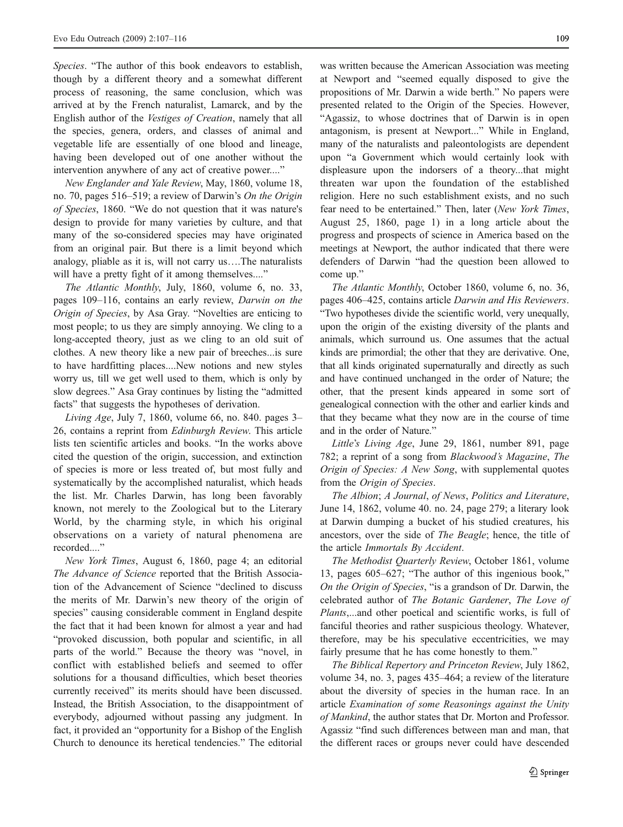Species. "The author of this book endeavors to establish, though by a different theory and a somewhat different process of reasoning, the same conclusion, which was arrived at by the French naturalist, Lamarck, and by the English author of the Vestiges of Creation, namely that all the species, genera, orders, and classes of animal and vegetable life are essentially of one blood and lineage, having been developed out of one another without the intervention anywhere of any act of creative power...."

New Englander and Yale Review, May, 1860, volume 18, no. 70, pages 516–519; a review of Darwin's On the Origin of Species, 1860. "We do not question that it was nature's design to provide for many varieties by culture, and that many of the so-considered species may have originated from an original pair. But there is a limit beyond which analogy, pliable as it is, will not carry us….The naturalists will have a pretty fight of it among themselves...."

The Atlantic Monthly, July, 1860, volume 6, no. 33, pages 109–116, contains an early review, Darwin on the Origin of Species, by Asa Gray. "Novelties are enticing to most people; to us they are simply annoying. We cling to a long-accepted theory, just as we cling to an old suit of clothes. A new theory like a new pair of breeches...is sure to have hardfitting places....New notions and new styles worry us, till we get well used to them, which is only by slow degrees." Asa Gray continues by listing the "admitted facts" that suggests the hypotheses of derivation.

Living Age, July 7, 1860, volume 66, no. 840. pages  $3-$ 26, contains a reprint from Edinburgh Review. This article lists ten scientific articles and books. "In the works above cited the question of the origin, succession, and extinction of species is more or less treated of, but most fully and systematically by the accomplished naturalist, which heads the list. Mr. Charles Darwin, has long been favorably known, not merely to the Zoological but to the Literary World, by the charming style, in which his original observations on a variety of natural phenomena are recorded...."

New York Times, August 6, 1860, page 4; an editorial The Advance of Science reported that the British Association of the Advancement of Science "declined to discuss the merits of Mr. Darwin's new theory of the origin of species" causing considerable comment in England despite the fact that it had been known for almost a year and had "provoked discussion, both popular and scientific, in all parts of the world." Because the theory was "novel, in conflict with established beliefs and seemed to offer solutions for a thousand difficulties, which beset theories currently received" its merits should have been discussed. Instead, the British Association, to the disappointment of everybody, adjourned without passing any judgment. In fact, it provided an "opportunity for a Bishop of the English Church to denounce its heretical tendencies." The editorial

was written because the American Association was meeting at Newport and "seemed equally disposed to give the propositions of Mr. Darwin a wide berth." No papers were presented related to the Origin of the Species. However, "Agassiz, to whose doctrines that of Darwin is in open antagonism, is present at Newport..." While in England, many of the naturalists and paleontologists are dependent upon "a Government which would certainly look with displeasure upon the indorsers of a theory...that might threaten war upon the foundation of the established religion. Here no such establishment exists, and no such fear need to be entertained." Then, later (New York Times, August 25, 1860, page 1) in a long article about the progress and prospects of science in America based on the meetings at Newport, the author indicated that there were defenders of Darwin "had the question been allowed to come up."

The Atlantic Monthly, October 1860, volume 6, no. 36, pages 406–425, contains article Darwin and His Reviewers. "Two hypotheses divide the scientific world, very unequally, upon the origin of the existing diversity of the plants and animals, which surround us. One assumes that the actual kinds are primordial; the other that they are derivative. One, that all kinds originated supernaturally and directly as such and have continued unchanged in the order of Nature; the other, that the present kinds appeared in some sort of genealogical connection with the other and earlier kinds and that they became what they now are in the course of time and in the order of Nature."

Little's Living Age, June 29, 1861, number 891, page 782; a reprint of a song from Blackwood's Magazine, The Origin of Species: A New Song, with supplemental quotes from the Origin of Species.

The Albion; A Journal, of News, Politics and Literature, June 14, 1862, volume 40. no. 24, page 279; a literary look at Darwin dumping a bucket of his studied creatures, his ancestors, over the side of The Beagle; hence, the title of the article Immortals By Accident.

The Methodist Quarterly Review, October 1861, volume 13, pages 605–627; "The author of this ingenious book," On the Origin of Species, "is a grandson of Dr. Darwin, the celebrated author of The Botanic Gardener, The Love of Plants,...and other poetical and scientific works, is full of fanciful theories and rather suspicious theology. Whatever, therefore, may be his speculative eccentricities, we may fairly presume that he has come honestly to them."

The Biblical Repertory and Princeton Review, July 1862, volume 34, no. 3, pages 435–464; a review of the literature about the diversity of species in the human race. In an article Examination of some Reasonings against the Unity of Mankind, the author states that Dr. Morton and Professor. Agassiz "find such differences between man and man, that the different races or groups never could have descended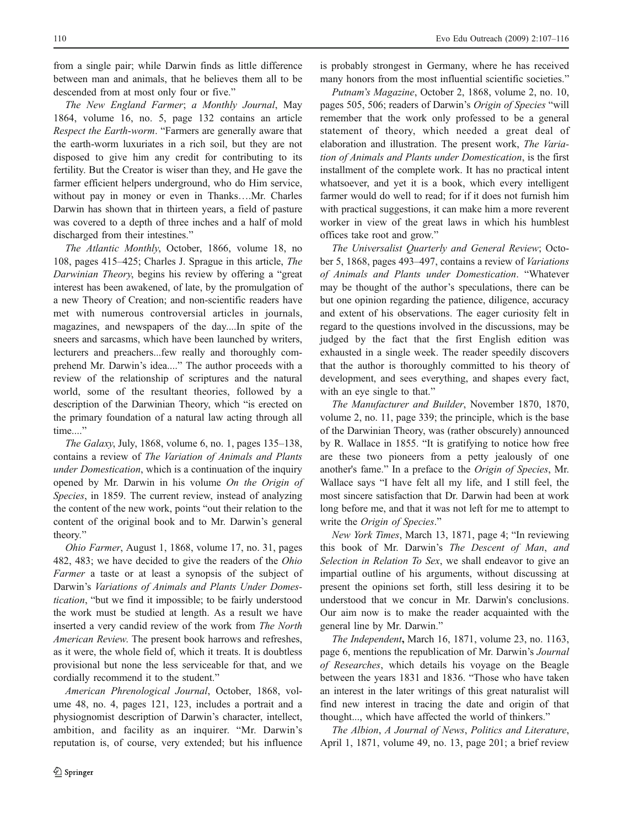from a single pair; while Darwin finds as little difference between man and animals, that he believes them all to be descended from at most only four or five."

The New England Farmer; a Monthly Journal, May 1864, volume 16, no. 5, page 132 contains an article Respect the Earth-worm. "Farmers are generally aware that the earth-worm luxuriates in a rich soil, but they are not disposed to give him any credit for contributing to its fertility. But the Creator is wiser than they, and He gave the farmer efficient helpers underground, who do Him service, without pay in money or even in Thanks….Mr. Charles Darwin has shown that in thirteen years, a field of pasture was covered to a depth of three inches and a half of mold discharged from their intestines."

The Atlantic Monthly, October, 1866, volume 18, no 108, pages 415–425; Charles J. Sprague in this article, The Darwinian Theory, begins his review by offering a "great interest has been awakened, of late, by the promulgation of a new Theory of Creation; and non-scientific readers have met with numerous controversial articles in journals, magazines, and newspapers of the day....In spite of the sneers and sarcasms, which have been launched by writers, lecturers and preachers...few really and thoroughly comprehend Mr. Darwin's idea...." The author proceeds with a review of the relationship of scriptures and the natural world, some of the resultant theories, followed by a description of the Darwinian Theory, which "is erected on the primary foundation of a natural law acting through all time...."

The Galaxy, July, 1868, volume 6, no. 1, pages 135–138, contains a review of The Variation of Animals and Plants under Domestication, which is a continuation of the inquiry opened by Mr. Darwin in his volume On the Origin of Species, in 1859. The current review, instead of analyzing the content of the new work, points "out their relation to the content of the original book and to Mr. Darwin's general theory."

Ohio Farmer, August 1, 1868, volume 17, no. 31, pages 482, 483; we have decided to give the readers of the Ohio Farmer a taste or at least a synopsis of the subject of Darwin's Variations of Animals and Plants Under Domestication, "but we find it impossible; to be fairly understood the work must be studied at length. As a result we have inserted a very candid review of the work from The North American Review. The present book harrows and refreshes, as it were, the whole field of, which it treats. It is doubtless provisional but none the less serviceable for that, and we cordially recommend it to the student."

American Phrenological Journal, October, 1868, volume 48, no. 4, pages 121, 123, includes a portrait and a physiognomist description of Darwin's character, intellect, ambition, and facility as an inquirer. "Mr. Darwin's reputation is, of course, very extended; but his influence

is probably strongest in Germany, where he has received many honors from the most influential scientific societies."

Putnam's Magazine, October 2, 1868, volume 2, no. 10, pages 505, 506; readers of Darwin's Origin of Species "will remember that the work only professed to be a general statement of theory, which needed a great deal of elaboration and illustration. The present work, The Variation of Animals and Plants under Domestication, is the first installment of the complete work. It has no practical intent whatsoever, and yet it is a book, which every intelligent farmer would do well to read; for if it does not furnish him with practical suggestions, it can make him a more reverent worker in view of the great laws in which his humblest offices take root and grow."

The Universalist Quarterly and General Review; October 5, 1868, pages 493–497, contains a review of Variations of Animals and Plants under Domestication. "Whatever may be thought of the author's speculations, there can be but one opinion regarding the patience, diligence, accuracy and extent of his observations. The eager curiosity felt in regard to the questions involved in the discussions, may be judged by the fact that the first English edition was exhausted in a single week. The reader speedily discovers that the author is thoroughly committed to his theory of development, and sees everything, and shapes every fact, with an eye single to that."

The Manufacturer and Builder, November 1870, 1870, volume 2, no. 11, page 339; the principle, which is the base of the Darwinian Theory, was (rather obscurely) announced by R. Wallace in 1855. "It is gratifying to notice how free are these two pioneers from a petty jealously of one another's fame." In a preface to the Origin of Species, Mr. Wallace says "I have felt all my life, and I still feel, the most sincere satisfaction that Dr. Darwin had been at work long before me, and that it was not left for me to attempt to write the *Origin of Species*."

New York Times, March 13, 1871, page 4; "In reviewing this book of Mr. Darwin's The Descent of Man, and Selection in Relation To Sex, we shall endeavor to give an impartial outline of his arguments, without discussing at present the opinions set forth, still less desiring it to be understood that we concur in Mr. Darwin's conclusions. Our aim now is to make the reader acquainted with the general line by Mr. Darwin."

The Independent, March 16, 1871, volume 23, no. 1163, page 6, mentions the republication of Mr. Darwin's Journal of Researches, which details his voyage on the Beagle between the years 1831 and 1836. "Those who have taken an interest in the later writings of this great naturalist will find new interest in tracing the date and origin of that thought..., which have affected the world of thinkers."

The Albion, A Journal of News, Politics and Literature, April 1, 1871, volume 49, no. 13, page 201; a brief review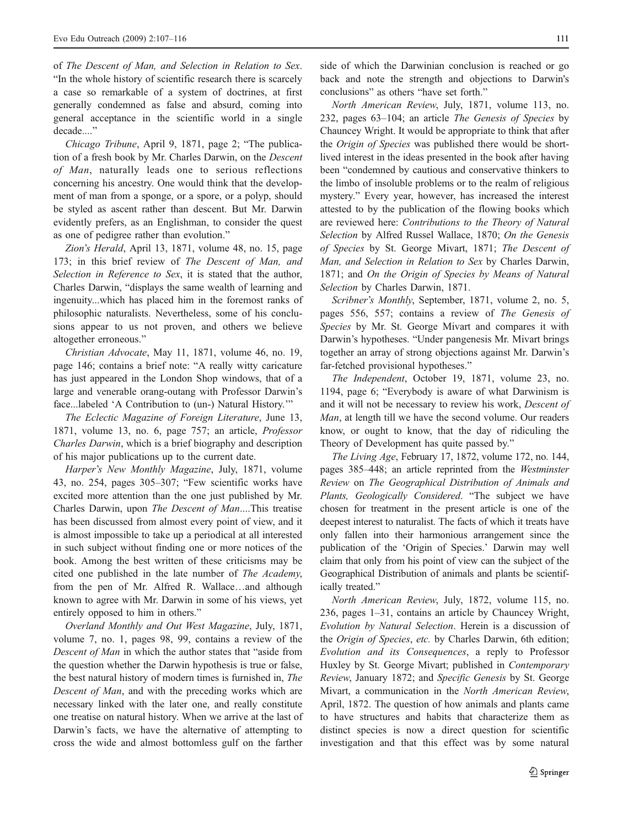of The Descent of Man, and Selection in Relation to Sex. "In the whole history of scientific research there is scarcely a case so remarkable of a system of doctrines, at first generally condemned as false and absurd, coming into general acceptance in the scientific world in a single decade...."

Chicago Tribune, April 9, 1871, page 2; "The publication of a fresh book by Mr. Charles Darwin, on the Descent of Man, naturally leads one to serious reflections concerning his ancestry. One would think that the development of man from a sponge, or a spore, or a polyp, should be styled as ascent rather than descent. But Mr. Darwin evidently prefers, as an Englishman, to consider the quest as one of pedigree rather than evolution."

Zion's Herald, April 13, 1871, volume 48, no. 15, page 173; in this brief review of The Descent of Man, and Selection in Reference to Sex, it is stated that the author, Charles Darwin, "displays the same wealth of learning and ingenuity...which has placed him in the foremost ranks of philosophic naturalists. Nevertheless, some of his conclusions appear to us not proven, and others we believe altogether erroneous."

Christian Advocate, May 11, 1871, volume 46, no. 19, page 146; contains a brief note: "A really witty caricature has just appeared in the London Shop windows, that of a large and venerable orang-outang with Professor Darwin's face...labeled 'A Contribution to (un-) Natural History.'"

The Eclectic Magazine of Foreign Literature, June 13, 1871, volume 13, no. 6, page 757; an article, Professor Charles Darwin, which is a brief biography and description of his major publications up to the current date.

Harper's New Monthly Magazine, July, 1871, volume 43, no. 254, pages 305–307; "Few scientific works have excited more attention than the one just published by Mr. Charles Darwin, upon The Descent of Man....This treatise has been discussed from almost every point of view, and it is almost impossible to take up a periodical at all interested in such subject without finding one or more notices of the book. Among the best written of these criticisms may be cited one published in the late number of The Academy, from the pen of Mr. Alfred R. Wallace…and although known to agree with Mr. Darwin in some of his views, yet entirely opposed to him in others."

Overland Monthly and Out West Magazine, July, 1871, volume 7, no. 1, pages 98, 99, contains a review of the Descent of Man in which the author states that "aside from the question whether the Darwin hypothesis is true or false, the best natural history of modern times is furnished in, The Descent of Man, and with the preceding works which are necessary linked with the later one, and really constitute one treatise on natural history. When we arrive at the last of Darwin's facts, we have the alternative of attempting to cross the wide and almost bottomless gulf on the farther

side of which the Darwinian conclusion is reached or go back and note the strength and objections to Darwin's conclusions" as others "have set forth."

North American Review, July, 1871, volume 113, no. 232, pages 63–104; an article The Genesis of Species by Chauncey Wright. It would be appropriate to think that after the Origin of Species was published there would be shortlived interest in the ideas presented in the book after having been "condemned by cautious and conservative thinkers to the limbo of insoluble problems or to the realm of religious mystery." Every year, however, has increased the interest attested to by the publication of the flowing books which are reviewed here: Contributions to the Theory of Natural Selection by Alfred Russel Wallace, 1870; On the Genesis of Species by St. George Mivart, 1871; The Descent of Man, and Selection in Relation to Sex by Charles Darwin, 1871; and On the Origin of Species by Means of Natural Selection by Charles Darwin, 1871.

Scribner's Monthly, September, 1871, volume 2, no. 5, pages 556, 557; contains a review of The Genesis of Species by Mr. St. George Mivart and compares it with Darwin's hypotheses. "Under pangenesis Mr. Mivart brings together an array of strong objections against Mr. Darwin's far-fetched provisional hypotheses."

The Independent, October 19, 1871, volume 23, no. 1194, page 6; "Everybody is aware of what Darwinism is and it will not be necessary to review his work, Descent of Man, at length till we have the second volume. Our readers know, or ought to know, that the day of ridiculing the Theory of Development has quite passed by."

The Living Age, February 17, 1872, volume 172, no. 144, pages 385–448; an article reprinted from the Westminster Review on The Geographical Distribution of Animals and Plants, Geologically Considered. "The subject we have chosen for treatment in the present article is one of the deepest interest to naturalist. The facts of which it treats have only fallen into their harmonious arrangement since the publication of the 'Origin of Species.' Darwin may well claim that only from his point of view can the subject of the Geographical Distribution of animals and plants be scientifically treated."

North American Review, July, 1872, volume 115, no. 236, pages 1–31, contains an article by Chauncey Wright, Evolution by Natural Selection. Herein is a discussion of the Origin of Species, etc. by Charles Darwin, 6th edition; Evolution and its Consequences, a reply to Professor Huxley by St. George Mivart; published in Contemporary Review, January 1872; and Specific Genesis by St. George Mivart, a communication in the North American Review, April, 1872. The question of how animals and plants came to have structures and habits that characterize them as distinct species is now a direct question for scientific investigation and that this effect was by some natural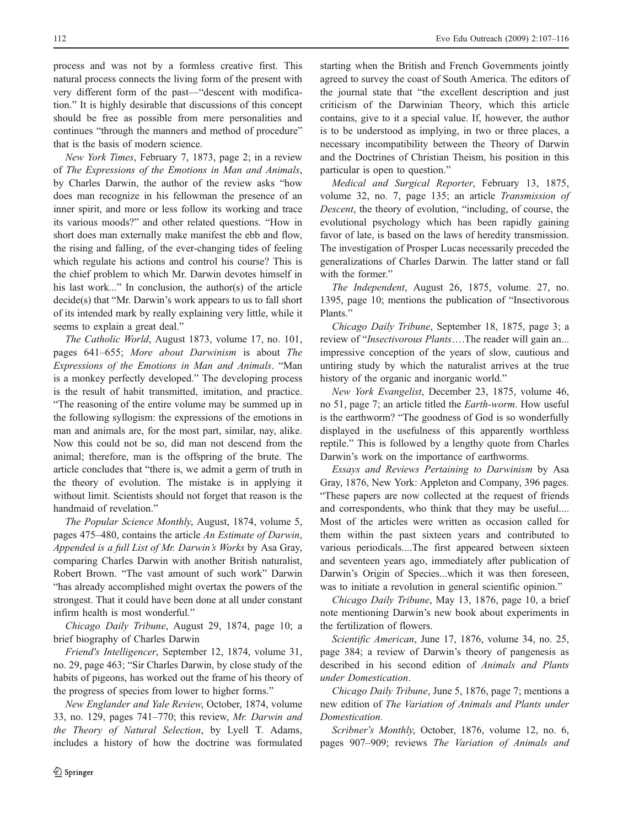process and was not by a formless creative first. This natural process connects the living form of the present with very different form of the past—"descent with modification." It is highly desirable that discussions of this concept should be free as possible from mere personalities and continues "through the manners and method of procedure" that is the basis of modern science.

New York Times, February 7, 1873, page 2; in a review of The Expressions of the Emotions in Man and Animals, by Charles Darwin, the author of the review asks "how does man recognize in his fellowman the presence of an inner spirit, and more or less follow its working and trace its various moods?" and other related questions. "How in short does man externally make manifest the ebb and flow, the rising and falling, of the ever-changing tides of feeling which regulate his actions and control his course? This is the chief problem to which Mr. Darwin devotes himself in his last work..." In conclusion, the author(s) of the article decide(s) that "Mr. Darwin's work appears to us to fall short of its intended mark by really explaining very little, while it seems to explain a great deal."

The Catholic World, August 1873, volume 17, no. 101, pages 641–655; More about Darwinism is about The Expressions of the Emotions in Man and Animals. "Man is a monkey perfectly developed." The developing process is the result of habit transmitted, imitation, and practice. "The reasoning of the entire volume may be summed up in the following syllogism: the expressions of the emotions in man and animals are, for the most part, similar, nay, alike. Now this could not be so, did man not descend from the animal; therefore, man is the offspring of the brute. The article concludes that "there is, we admit a germ of truth in the theory of evolution. The mistake is in applying it without limit. Scientists should not forget that reason is the handmaid of revelation."

The Popular Science Monthly, August, 1874, volume 5, pages 475–480, contains the article An Estimate of Darwin, Appended is a full List of Mr. Darwin's Works by Asa Gray, comparing Charles Darwin with another British naturalist, Robert Brown. "The vast amount of such work" Darwin "has already accomplished might overtax the powers of the strongest. That it could have been done at all under constant infirm health is most wonderful."

Chicago Daily Tribune, August 29, 1874, page 10; a brief biography of Charles Darwin

Friend's Intelligencer, September 12, 1874, volume 31, no. 29, page 463; "Sir Charles Darwin, by close study of the habits of pigeons, has worked out the frame of his theory of the progress of species from lower to higher forms."

New Englander and Yale Review, October, 1874, volume 33, no. 129, pages 741–770; this review, Mr. Darwin and the Theory of Natural Selection, by Lyell T. Adams, includes a history of how the doctrine was formulated starting when the British and French Governments jointly agreed to survey the coast of South America. The editors of the journal state that "the excellent description and just criticism of the Darwinian Theory, which this article contains, give to it a special value. If, however, the author is to be understood as implying, in two or three places, a necessary incompatibility between the Theory of Darwin and the Doctrines of Christian Theism, his position in this particular is open to question."

Medical and Surgical Reporter, February 13, 1875, volume 32, no. 7, page 135; an article Transmission of Descent, the theory of evolution, "including, of course, the evolutional psychology which has been rapidly gaining favor of late, is based on the laws of heredity transmission. The investigation of Prosper Lucas necessarily preceded the generalizations of Charles Darwin. The latter stand or fall with the former."

The Independent, August 26, 1875, volume. 27, no. 1395, page 10; mentions the publication of "Insectivorous Plants."

Chicago Daily Tribune, September 18, 1875, page 3; a review of "Insectivorous Plants….The reader will gain an... impressive conception of the years of slow, cautious and untiring study by which the naturalist arrives at the true history of the organic and inorganic world."

New York Evangelist, December 23, 1875, volume 46, no 51, page 7; an article titled the Earth-worm. How useful is the earthworm? "The goodness of God is so wonderfully displayed in the usefulness of this apparently worthless reptile." This is followed by a lengthy quote from Charles Darwin's work on the importance of earthworms.

Essays and Reviews Pertaining to Darwinism by Asa Gray, 1876, New York: Appleton and Company, 396 pages. "These papers are now collected at the request of friends and correspondents, who think that they may be useful.... Most of the articles were written as occasion called for them within the past sixteen years and contributed to various periodicals....The first appeared between sixteen and seventeen years ago, immediately after publication of Darwin's Origin of Species...which it was then foreseen, was to initiate a revolution in general scientific opinion."

Chicago Daily Tribune, May 13, 1876, page 10, a brief note mentioning Darwin's new book about experiments in the fertilization of flowers.

Scientific American, June 17, 1876, volume 34, no. 25, page 384; a review of Darwin's theory of pangenesis as described in his second edition of Animals and Plants under Domestication.

Chicago Daily Tribune, June 5, 1876, page 7; mentions a new edition of The Variation of Animals and Plants under Domestication.

Scribner's Monthly, October, 1876, volume 12, no. 6, pages 907–909; reviews The Variation of Animals and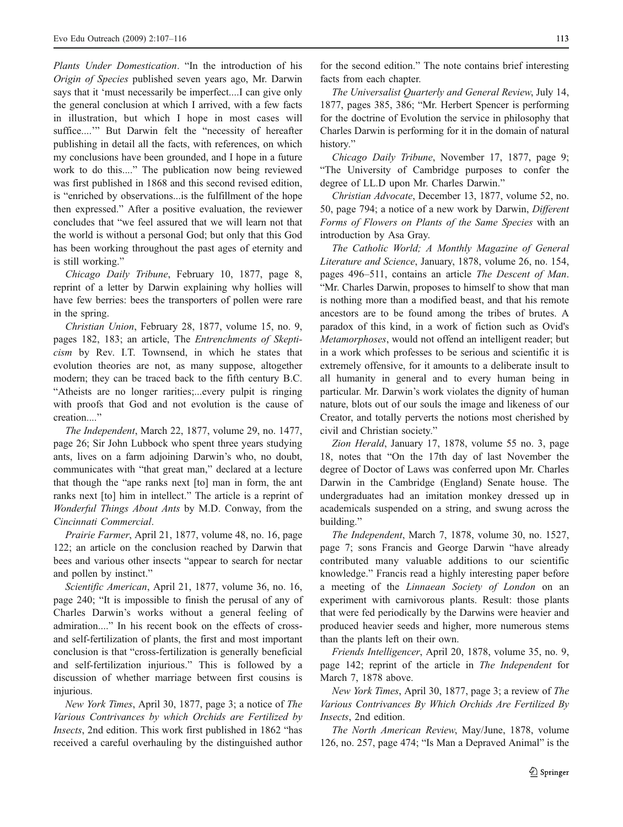Plants Under Domestication. "In the introduction of his Origin of Species published seven years ago, Mr. Darwin says that it 'must necessarily be imperfect....I can give only the general conclusion at which I arrived, with a few facts in illustration, but which I hope in most cases will suffice....'" But Darwin felt the "necessity of hereafter publishing in detail all the facts, with references, on which my conclusions have been grounded, and I hope in a future work to do this...." The publication now being reviewed was first published in 1868 and this second revised edition, is "enriched by observations...is the fulfillment of the hope then expressed." After a positive evaluation, the reviewer concludes that "we feel assured that we will learn not that the world is without a personal God; but only that this God has been working throughout the past ages of eternity and is still working."

Chicago Daily Tribune, February 10, 1877, page 8, reprint of a letter by Darwin explaining why hollies will have few berries: bees the transporters of pollen were rare in the spring.

Christian Union, February 28, 1877, volume 15, no. 9, pages 182, 183; an article, The Entrenchments of Skepticism by Rev. I.T. Townsend, in which he states that evolution theories are not, as many suppose, altogether modern; they can be traced back to the fifth century B.C. "Atheists are no longer rarities;...every pulpit is ringing with proofs that God and not evolution is the cause of creation...."

The Independent, March 22, 1877, volume 29, no. 1477, page 26; Sir John Lubbock who spent three years studying ants, lives on a farm adjoining Darwin's who, no doubt, communicates with "that great man," declared at a lecture that though the "ape ranks next [to] man in form, the ant ranks next [to] him in intellect." The article is a reprint of Wonderful Things About Ants by M.D. Conway, from the Cincinnati Commercial.

Prairie Farmer, April 21, 1877, volume 48, no. 16, page 122; an article on the conclusion reached by Darwin that bees and various other insects "appear to search for nectar and pollen by instinct."

Scientific American, April 21, 1877, volume 36, no. 16, page 240; "It is impossible to finish the perusal of any of Charles Darwin's works without a general feeling of admiration...." In his recent book on the effects of crossand self-fertilization of plants, the first and most important conclusion is that "cross-fertilization is generally beneficial and self-fertilization injurious." This is followed by a discussion of whether marriage between first cousins is injurious.

New York Times, April 30, 1877, page 3; a notice of The Various Contrivances by which Orchids are Fertilized by Insects, 2nd edition. This work first published in 1862 "has received a careful overhauling by the distinguished author for the second edition." The note contains brief interesting facts from each chapter.

The Universalist Quarterly and General Review, July 14, 1877, pages 385, 386; "Mr. Herbert Spencer is performing for the doctrine of Evolution the service in philosophy that Charles Darwin is performing for it in the domain of natural history."

Chicago Daily Tribune, November 17, 1877, page 9; "The University of Cambridge purposes to confer the degree of LL.D upon Mr. Charles Darwin."

Christian Advocate, December 13, 1877, volume 52, no. 50, page 794; a notice of a new work by Darwin, Different Forms of Flowers on Plants of the Same Species with an introduction by Asa Gray.

The Catholic World; A Monthly Magazine of General Literature and Science, January, 1878, volume 26, no. 154, pages 496–511, contains an article The Descent of Man. "Mr. Charles Darwin, proposes to himself to show that man is nothing more than a modified beast, and that his remote ancestors are to be found among the tribes of brutes. A paradox of this kind, in a work of fiction such as Ovid's Metamorphoses, would not offend an intelligent reader; but in a work which professes to be serious and scientific it is extremely offensive, for it amounts to a deliberate insult to all humanity in general and to every human being in particular. Mr. Darwin's work violates the dignity of human nature, blots out of our souls the image and likeness of our Creator, and totally perverts the notions most cherished by civil and Christian society."

Zion Herald, January 17, 1878, volume 55 no. 3, page 18, notes that "On the 17th day of last November the degree of Doctor of Laws was conferred upon Mr. Charles Darwin in the Cambridge (England) Senate house. The undergraduates had an imitation monkey dressed up in academicals suspended on a string, and swung across the building."

The Independent, March 7, 1878, volume 30, no. 1527, page 7; sons Francis and George Darwin "have already contributed many valuable additions to our scientific knowledge." Francis read a highly interesting paper before a meeting of the Linnaean Society of London on an experiment with carnivorous plants. Result: those plants that were fed periodically by the Darwins were heavier and produced heavier seeds and higher, more numerous stems than the plants left on their own.

Friends Intelligencer, April 20, 1878, volume 35, no. 9, page 142; reprint of the article in The Independent for March 7, 1878 above.

New York Times, April 30, 1877, page 3; a review of The Various Contrivances By Which Orchids Are Fertilized By Insects, 2nd edition.

The North American Review, May/June, 1878, volume 126, no. 257, page 474; "Is Man a Depraved Animal" is the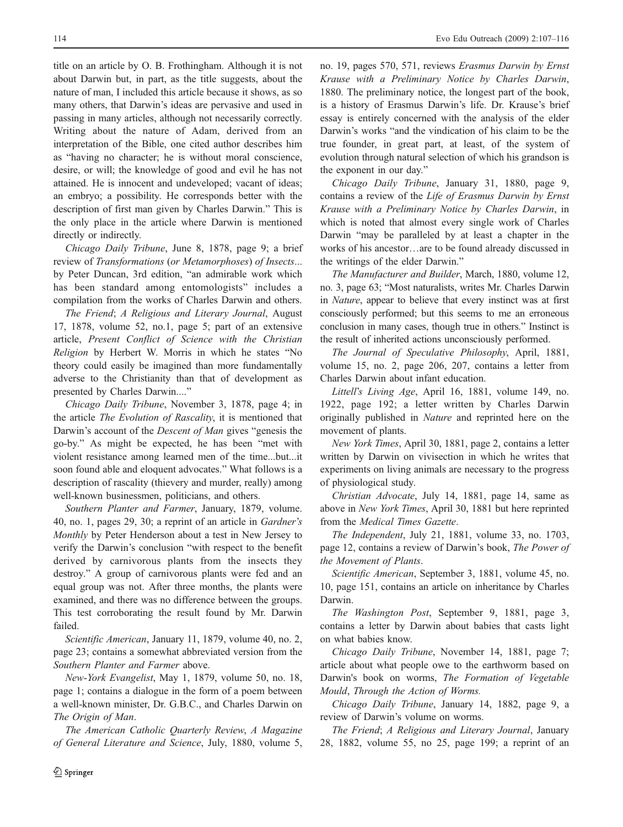title on an article by O. B. Frothingham. Although it is not about Darwin but, in part, as the title suggests, about the nature of man, I included this article because it shows, as so many others, that Darwin's ideas are pervasive and used in passing in many articles, although not necessarily correctly. Writing about the nature of Adam, derived from an interpretation of the Bible, one cited author describes him as "having no character; he is without moral conscience, desire, or will; the knowledge of good and evil he has not attained. He is innocent and undeveloped; vacant of ideas; an embryo; a possibility. He corresponds better with the description of first man given by Charles Darwin." This is the only place in the article where Darwin is mentioned directly or indirectly.

Chicago Daily Tribune, June 8, 1878, page 9; a brief review of Transformations (or Metamorphoses) of Insects... by Peter Duncan, 3rd edition, "an admirable work which has been standard among entomologists" includes a compilation from the works of Charles Darwin and others.

The Friend; A Religious and Literary Journal, August 17, 1878, volume 52, no.1, page 5; part of an extensive article, Present Conflict of Science with the Christian Religion by Herbert W. Morris in which he states "No theory could easily be imagined than more fundamentally adverse to the Christianity than that of development as presented by Charles Darwin...."

Chicago Daily Tribune, November 3, 1878, page 4; in the article The Evolution of Rascality, it is mentioned that Darwin's account of the *Descent of Man* gives "genesis the go-by." As might be expected, he has been "met with violent resistance among learned men of the time...but...it soon found able and eloquent advocates." What follows is a description of rascality (thievery and murder, really) among well-known businessmen, politicians, and others.

Southern Planter and Farmer, January, 1879, volume. 40, no. 1, pages 29, 30; a reprint of an article in Gardner's Monthly by Peter Henderson about a test in New Jersey to verify the Darwin's conclusion "with respect to the benefit derived by carnivorous plants from the insects they destroy." A group of carnivorous plants were fed and an equal group was not. After three months, the plants were examined, and there was no difference between the groups. This test corroborating the result found by Mr. Darwin failed.

Scientific American, January 11, 1879, volume 40, no. 2, page 23; contains a somewhat abbreviated version from the Southern Planter and Farmer above.

New-York Evangelist, May 1, 1879, volume 50, no. 18, page 1; contains a dialogue in the form of a poem between a well-known minister, Dr. G.B.C., and Charles Darwin on The Origin of Man.

The American Catholic Quarterly Review, A Magazine of General Literature and Science, July, 1880, volume 5, no. 19, pages 570, 571, reviews Erasmus Darwin by Ernst Krause with a Preliminary Notice by Charles Darwin, 1880. The preliminary notice, the longest part of the book, is a history of Erasmus Darwin's life. Dr. Krause's brief essay is entirely concerned with the analysis of the elder Darwin's works "and the vindication of his claim to be the true founder, in great part, at least, of the system of evolution through natural selection of which his grandson is the exponent in our day."

Chicago Daily Tribune, January 31, 1880, page 9, contains a review of the Life of Erasmus Darwin by Ernst Krause with a Preliminary Notice by Charles Darwin, in which is noted that almost every single work of Charles Darwin "may be paralleled by at least a chapter in the works of his ancestor…are to be found already discussed in the writings of the elder Darwin."

The Manufacturer and Builder, March, 1880, volume 12, no. 3, page 63; "Most naturalists, writes Mr. Charles Darwin in Nature, appear to believe that every instinct was at first consciously performed; but this seems to me an erroneous conclusion in many cases, though true in others." Instinct is the result of inherited actions unconsciously performed.

The Journal of Speculative Philosophy, April, 1881, volume 15, no. 2, page 206, 207, contains a letter from Charles Darwin about infant education.

Littell's Living Age, April 16, 1881, volume 149, no. 1922, page 192; a letter written by Charles Darwin originally published in Nature and reprinted here on the movement of plants.

New York Times, April 30, 1881, page 2, contains a letter written by Darwin on vivisection in which he writes that experiments on living animals are necessary to the progress of physiological study.

Christian Advocate, July 14, 1881, page 14, same as above in New York Times, April 30, 1881 but here reprinted from the Medical Times Gazette.

The Independent, July 21, 1881, volume 33, no. 1703, page 12, contains a review of Darwin's book, The Power of the Movement of Plants.

Scientific American, September 3, 1881, volume 45, no. 10, page 151, contains an article on inheritance by Charles Darwin.

The Washington Post, September 9, 1881, page 3, contains a letter by Darwin about babies that casts light on what babies know.

Chicago Daily Tribune, November 14, 1881, page 7; article about what people owe to the earthworm based on Darwin's book on worms, The Formation of Vegetable Mould, Through the Action of Worms.

Chicago Daily Tribune, January 14, 1882, page 9, a review of Darwin's volume on worms.

The Friend; A Religious and Literary Journal, January 28, 1882, volume 55, no 25, page 199; a reprint of an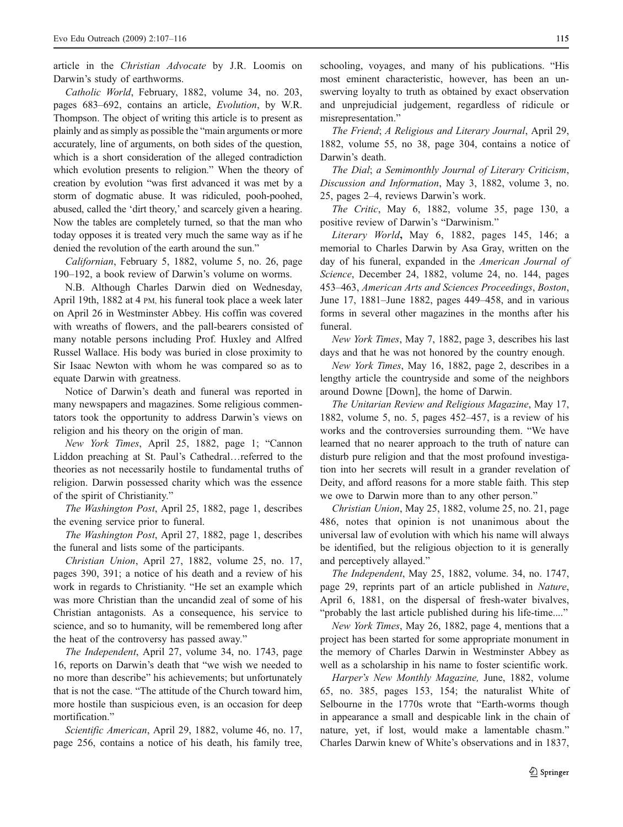article in the Christian Advocate by J.R. Loomis on Darwin's study of earthworms.

Catholic World, February, 1882, volume 34, no. 203, pages 683–692, contains an article, Evolution, by W.R. Thompson. The object of writing this article is to present as plainly and as simply as possible the "main arguments or more accurately, line of arguments, on both sides of the question, which is a short consideration of the alleged contradiction which evolution presents to religion." When the theory of creation by evolution "was first advanced it was met by a storm of dogmatic abuse. It was ridiculed, pooh-poohed, abused, called the 'dirt theory,' and scarcely given a hearing. Now the tables are completely turned, so that the man who today opposes it is treated very much the same way as if he denied the revolution of the earth around the sun."

Californian, February 5, 1882, volume 5, no. 26, page 190–192, a book review of Darwin's volume on worms.

N.B. Although Charles Darwin died on Wednesday, April 19th, 1882 at 4 PM, his funeral took place a week later on April 26 in Westminster Abbey. His coffin was covered with wreaths of flowers, and the pall-bearers consisted of many notable persons including Prof. Huxley and Alfred Russel Wallace. His body was buried in close proximity to Sir Isaac Newton with whom he was compared so as to equate Darwin with greatness.

Notice of Darwin's death and funeral was reported in many newspapers and magazines. Some religious commentators took the opportunity to address Darwin's views on religion and his theory on the origin of man.

New York Times, April 25, 1882, page 1; "Cannon Liddon preaching at St. Paul's Cathedral…referred to the theories as not necessarily hostile to fundamental truths of religion. Darwin possessed charity which was the essence of the spirit of Christianity."

The Washington Post, April 25, 1882, page 1, describes the evening service prior to funeral.

The Washington Post, April 27, 1882, page 1, describes the funeral and lists some of the participants.

Christian Union, April 27, 1882, volume 25, no. 17, pages 390, 391; a notice of his death and a review of his work in regards to Christianity. "He set an example which was more Christian than the uncandid zeal of some of his Christian antagonists. As a consequence, his service to science, and so to humanity, will be remembered long after the heat of the controversy has passed away."

The Independent, April 27, volume 34, no. 1743, page 16, reports on Darwin's death that "we wish we needed to no more than describe" his achievements; but unfortunately that is not the case. "The attitude of the Church toward him, more hostile than suspicious even, is an occasion for deep mortification."

Scientific American, April 29, 1882, volume 46, no. 17, page 256, contains a notice of his death, his family tree,

schooling, voyages, and many of his publications. "His most eminent characteristic, however, has been an unswerving loyalty to truth as obtained by exact observation and unprejudicial judgement, regardless of ridicule or misrepresentation."

The Friend; A Religious and Literary Journal, April 29, 1882, volume 55, no 38, page 304, contains a notice of Darwin's death.

The Dial; a Semimonthly Journal of Literary Criticism, Discussion and Information, May 3, 1882, volume 3, no. 25, pages 2–4, reviews Darwin's work.

The Critic, May 6, 1882, volume 35, page 130, a positive review of Darwin's "Darwinism."

Literary World, May 6, 1882, pages 145, 146; a memorial to Charles Darwin by Asa Gray, written on the day of his funeral, expanded in the American Journal of Science, December 24, 1882, volume 24, no. 144, pages 453–463, American Arts and Sciences Proceedings, Boston, June 17, 1881–June 1882, pages 449–458, and in various forms in several other magazines in the months after his funeral.

New York Times, May 7, 1882, page 3, describes his last days and that he was not honored by the country enough.

New York Times, May 16, 1882, page 2, describes in a lengthy article the countryside and some of the neighbors around Downe [Down], the home of Darwin.

The Unitarian Review and Religious Magazine, May 17, 1882, volume 5, no. 5, pages 452–457, is a review of his works and the controversies surrounding them. "We have learned that no nearer approach to the truth of nature can disturb pure religion and that the most profound investigation into her secrets will result in a grander revelation of Deity, and afford reasons for a more stable faith. This step we owe to Darwin more than to any other person."

Christian Union, May 25, 1882, volume 25, no. 21, page 486, notes that opinion is not unanimous about the universal law of evolution with which his name will always be identified, but the religious objection to it is generally and perceptively allayed."

The Independent, May 25, 1882, volume. 34, no. 1747, page 29, reprints part of an article published in Nature, April 6, 1881, on the dispersal of fresh-water bivalves, "probably the last article published during his life-time...."

New York Times, May 26, 1882, page 4, mentions that a project has been started for some appropriate monument in the memory of Charles Darwin in Westminster Abbey as well as a scholarship in his name to foster scientific work.

Harper's New Monthly Magazine, June, 1882, volume 65, no. 385, pages 153, 154; the naturalist White of Selbourne in the 1770s wrote that "Earth-worms though in appearance a small and despicable link in the chain of nature, yet, if lost, would make a lamentable chasm." Charles Darwin knew of White's observations and in 1837,